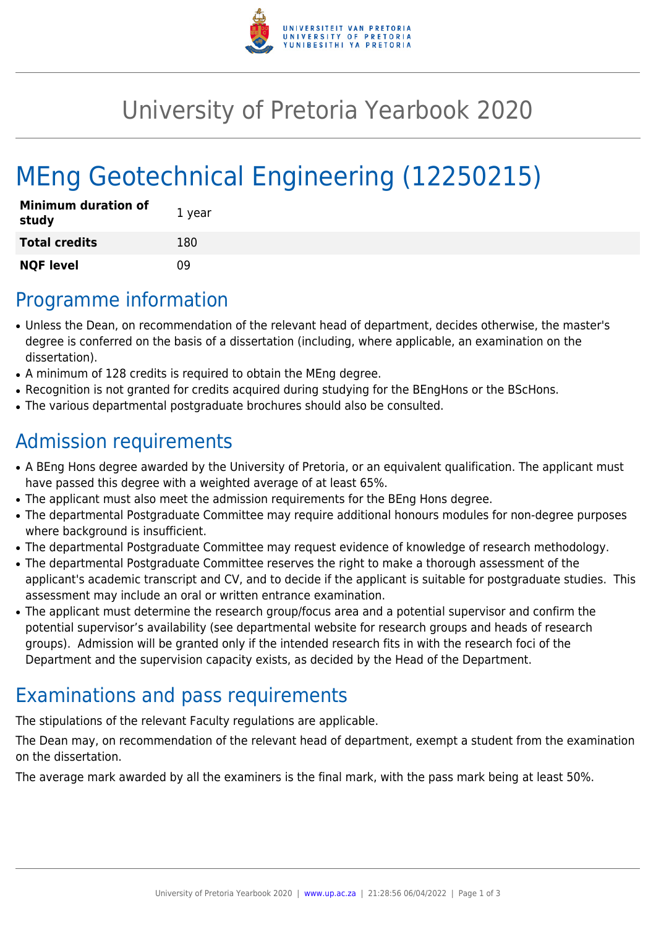

## University of Pretoria Yearbook 2020

# MEng Geotechnical Engineering (12250215)

| <b>Minimum duration of</b><br>study | 1 year |
|-------------------------------------|--------|
| <b>Total credits</b>                | 180    |
| <b>NQF level</b>                    | n۹     |

#### Programme information

- Unless the Dean, on recommendation of the relevant head of department, decides otherwise, the master's degree is conferred on the basis of a dissertation (including, where applicable, an examination on the dissertation).
- A minimum of 128 credits is required to obtain the MEng degree.
- Recognition is not granted for credits acquired during studying for the BEngHons or the BScHons.
- The various departmental postgraduate brochures should also be consulted.

#### Admission requirements

- A BEng Hons degree awarded by the University of Pretoria, or an equivalent qualification. The applicant must have passed this degree with a weighted average of at least 65%.
- The applicant must also meet the admission requirements for the BEng Hons degree.
- The departmental Postgraduate Committee may require additional honours modules for non-degree purposes where background is insufficient.
- The departmental Postgraduate Committee may request evidence of knowledge of research methodology.
- The departmental Postgraduate Committee reserves the right to make a thorough assessment of the applicant's academic transcript and CV, and to decide if the applicant is suitable for postgraduate studies. This assessment may include an oral or written entrance examination.
- The applicant must determine the research group/focus area and a potential supervisor and confirm the potential supervisor's availability (see departmental website for research groups and heads of research groups). Admission will be granted only if the intended research fits in with the research foci of the Department and the supervision capacity exists, as decided by the Head of the Department.

## Examinations and pass requirements

The stipulations of the relevant Faculty regulations are applicable.

The Dean may, on recommendation of the relevant head of department, exempt a student from the examination on the dissertation.

The average mark awarded by all the examiners is the final mark, with the pass mark being at least 50%.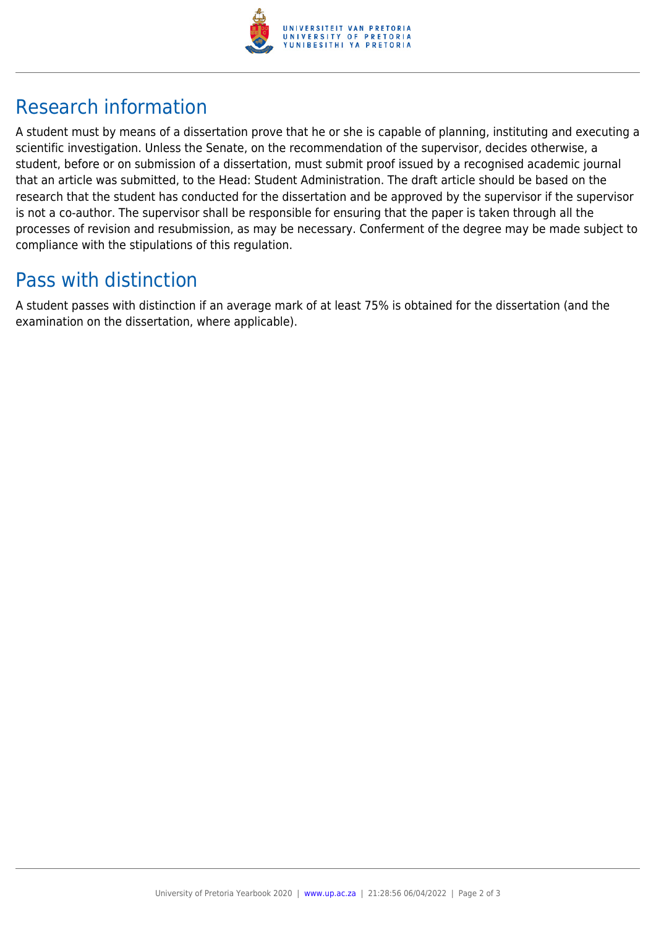

## Research information

A student must by means of a dissertation prove that he or she is capable of planning, instituting and executing a scientific investigation. Unless the Senate, on the recommendation of the supervisor, decides otherwise, a student, before or on submission of a dissertation, must submit proof issued by a recognised academic journal that an article was submitted, to the Head: Student Administration. The draft article should be based on the research that the student has conducted for the dissertation and be approved by the supervisor if the supervisor is not a co-author. The supervisor shall be responsible for ensuring that the paper is taken through all the processes of revision and resubmission, as may be necessary. Conferment of the degree may be made subject to compliance with the stipulations of this regulation.

#### Pass with distinction

A student passes with distinction if an average mark of at least 75% is obtained for the dissertation (and the examination on the dissertation, where applicable).